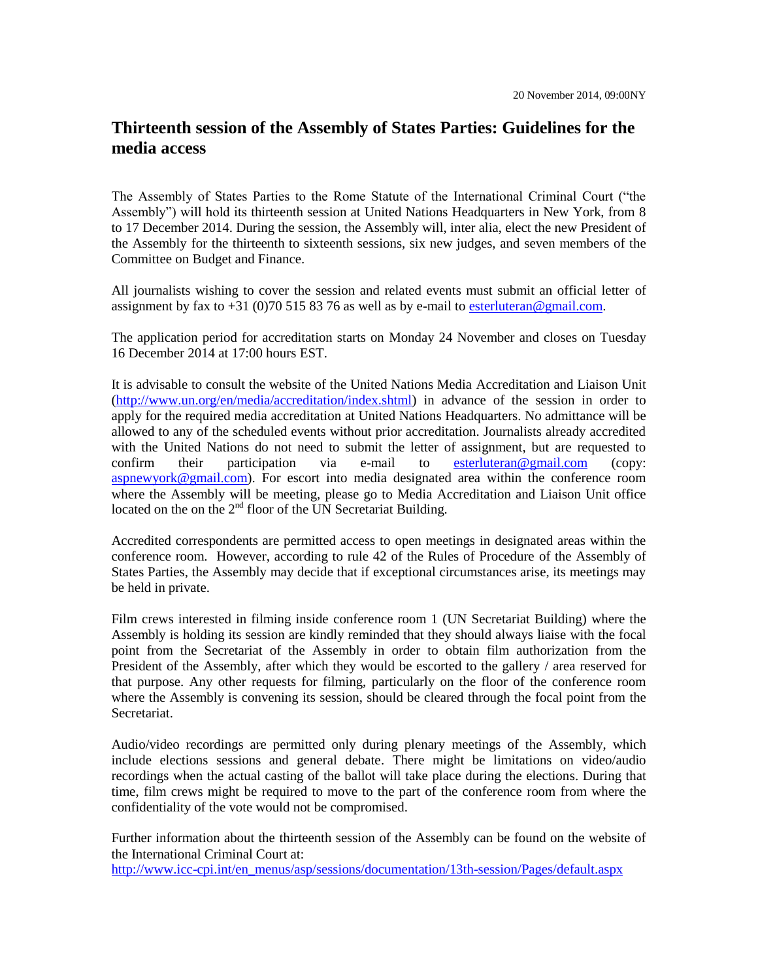## **Thirteenth session of the Assembly of States Parties: Guidelines for the media access**

The Assembly of States Parties to the Rome Statute of the International Criminal Court ("the Assembly") will hold its thirteenth session at United Nations Headquarters in New York, from 8 to 17 December 2014. During the session, the Assembly will, inter alia, elect the new President of the Assembly for the thirteenth to sixteenth sessions, six new judges, and seven members of the Committee on Budget and Finance.

All journalists wishing to cover the session and related events must submit an official letter of assignment by fax to  $+31$  (0)70 515 83 76 as well as by e-mail to [esterluteran@gmail.com.](mailto:esterluteran@gmail.com)

The application period for accreditation starts on Monday 24 November and closes on Tuesday 16 December 2014 at 17:00 hours EST.

It is advisable to consult the website of the United Nations Media Accreditation and Liaison Unit [\(http://www.un.org/en/media/accreditation/index.shtml\)](http://www.un.org/en/media/accreditation/index.shtml) in advance of the session in order to apply for the required media accreditation at United Nations Headquarters. No admittance will be allowed to any of the scheduled events without prior accreditation. Journalists already accredited with the United Nations do not need to submit the letter of assignment, but are requested to confirm their participation via e-mail to [esterluteran@gmail.com](mailto:esterluteran@gmail.com) (copy: [aspnewyork@gmail.com\)](mailto:aspnewyork@gmail.com). For escort into media designated area within the conference room where the Assembly will be meeting, please go to Media Accreditation and Liaison Unit office located on the on the 2<sup>nd</sup> floor of the UN Secretariat Building.

Accredited correspondents are permitted access to open meetings in designated areas within the conference room. However, according to rule 42 of the Rules of Procedure of the Assembly of States Parties, the Assembly may decide that if exceptional circumstances arise, its meetings may be held in private.

Film crews interested in filming inside conference room 1 (UN Secretariat Building) where the Assembly is holding its session are kindly reminded that they should always liaise with the focal point from the Secretariat of the Assembly in order to obtain film authorization from the President of the Assembly, after which they would be escorted to the gallery / area reserved for that purpose. Any other requests for filming, particularly on the floor of the conference room where the Assembly is convening its session, should be cleared through the focal point from the **Secretariat** 

Audio/video recordings are permitted only during plenary meetings of the Assembly, which include elections sessions and general debate. There might be limitations on video/audio recordings when the actual casting of the ballot will take place during the elections. During that time, film crews might be required to move to the part of the conference room from where the confidentiality of the vote would not be compromised.

Further information about the thirteenth session of the Assembly can be found on the website of the International Criminal Court at:

[http://www.icc-cpi.int/en\\_menus/asp/sessions/documentation/13th-session/Pages/default.aspx](http://www.icc-cpi.int/en_menus/asp/sessions/documentation/13th-session/Pages/default.aspx)